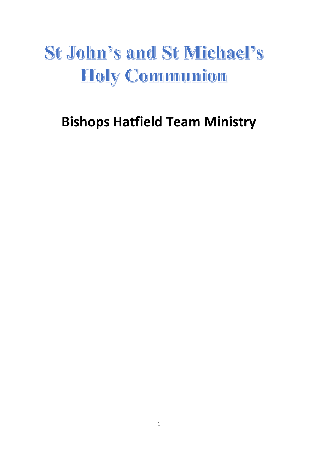## **St John's and St Michael's** Holy Communion

## **Bishops Hatfield Team Ministry**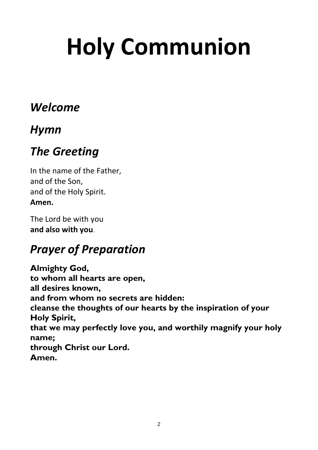# **Holy Communion**

## *Welcome*

## *Hymn*

## *The Greeting*

In the name of the Father, and of the Son, and of the Holy Spirit. **Amen.**

The Lord be with you **and also with you**.

## *Prayer of Preparation*

**Almighty God, to whom all hearts are open, all desires known, and from whom no secrets are hidden: cleanse the thoughts of our hearts by the inspiration of your Holy Spirit, that we may perfectly love you, and worthily magnify your holy name; through Christ our Lord. Amen.**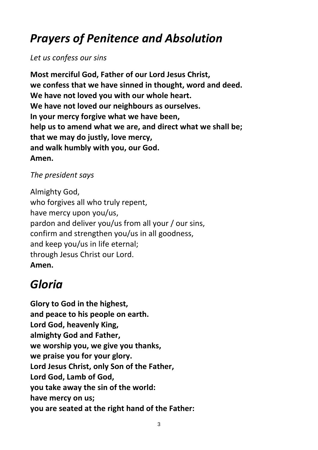## *Prayers of Penitence and Absolution*

*Let us confess our sins*

**Most merciful God, Father of our Lord Jesus Christ, we confess that we have sinned in thought, word and deed. We have not loved you with our whole heart. We have not loved our neighbours as ourselves. In your mercy forgive what we have been, help us to amend what we are, and direct what we shall be; that we may do justly, love mercy, and walk humbly with you, our God. Amen.**

*The president says*

Almighty God, who forgives all who truly repent, have mercy upon you/us, pardon and deliver you/us from all your / our sins, confirm and strengthen you/us in all goodness, and keep you/us in life eternal; through Jesus Christ our Lord. **Amen.**

## *Gloria*

**Glory to God in the highest, and peace to his people on earth. Lord God, heavenly King, almighty God and Father, we worship you, we give you thanks, we praise you for your glory. Lord Jesus Christ, only Son of the Father, Lord God, Lamb of God, you take away the sin of the world: have mercy on us; you are seated at the right hand of the Father:**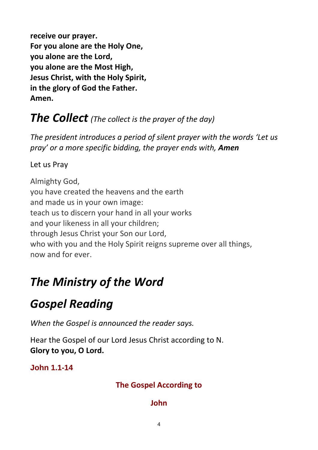**receive our prayer. For you alone are the Holy One, you alone are the Lord, you alone are the Most High, Jesus Christ, with the Holy Spirit, in the glory of God the Father. Amen.**

## *The Collect (The collect is the prayer of the day)*

*The president introduces a period of silent prayer with the words 'Let us pray' or a more specific bidding, the prayer ends with, Amen*

Let us Pray

Almighty God, you have created the heavens and the earth and made us in your own image: teach us to discern your hand in all your works and your likeness in all your children; through Jesus Christ your Son our Lord, who with you and the Holy Spirit reigns supreme over all things, now and for ever.

## *The Ministry of the Word*

## *Gospel Reading*

*When the Gospel is announced the reader says.*

Hear the Gospel of our Lord Jesus Christ according to N. **Glory to you, O Lord.**

**John 1.1-14**

#### **The Gospel According to**

#### **John**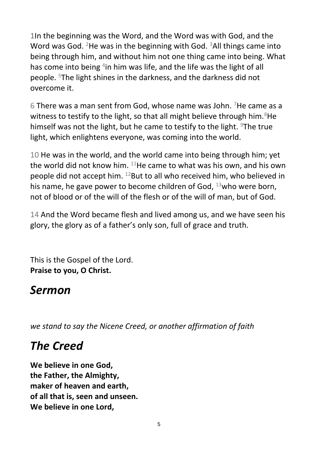1In the beginning was the Word, and the Word was with God, and the Word was God. <sup>2</sup>He was in the beginning with God. <sup>3</sup>All things came into being through him, and without him not one thing came into being. What has come into being  $4$ in him was life, and the life was the light of all people. <sup>5</sup>The light shines in the darkness, and the darkness did not overcome it.

6 There was a man sent from God, whose name was John. <sup>7</sup>He came as a witness to testify to the light, so that all might believe through him.  $8$ He himself was not the light, but he came to testify to the light. <sup>9</sup>The true light, which enlightens everyone, was coming into the world.

10 He was in the world, and the world came into being through him; yet the world did not know him.  $^{11}$ He came to what was his own, and his own people did not accept him.  $^{12}$ But to all who received him, who believed in his name, he gave power to become children of God, <sup>13</sup>who were born, not of blood or of the will of the flesh or of the will of man, but of God.

14 And the Word became flesh and lived among us, and we have seen his glory, the glory as of a father's only son, full of grace and truth.

This is the Gospel of the Lord. **Praise to you, O Christ.**

### *Sermon*

*we stand to say the Nicene Creed, or another affirmation of faith*

## *The Creed*

**We believe in one God, the Father, the Almighty, maker of heaven and earth, of all that is, seen and unseen. We believe in one Lord,**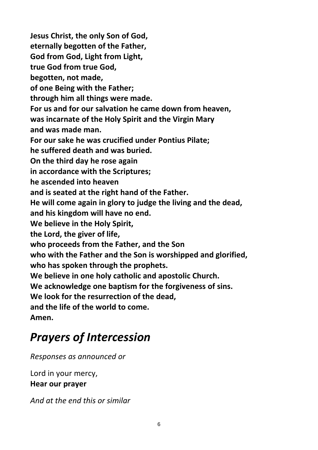**Jesus Christ, the only Son of God, eternally begotten of the Father, God from God, Light from Light, true God from true God, begotten, not made, of one Being with the Father; through him all things were made. For us and for our salvation he came down from heaven, was incarnate of the Holy Spirit and the Virgin Mary and was made man. For our sake he was crucified under Pontius Pilate; he suffered death and was buried. On the third day he rose again in accordance with the Scriptures; he ascended into heaven and is seated at the right hand of the Father. He will come again in glory to judge the living and the dead, and his kingdom will have no end. We believe in the Holy Spirit, the Lord, the giver of life, who proceeds from the Father, and the Son who with the Father and the Son is worshipped and glorified, who has spoken through the prophets. We believe in one holy catholic and apostolic Church. We acknowledge one baptism for the forgiveness of sins. We look for the resurrection of the dead, and the life of the world to come. Amen.**

## *Prayers of Intercession*

*Responses as announced or*

Lord in your mercy, **Hear our prayer**

*And at the end this or similar*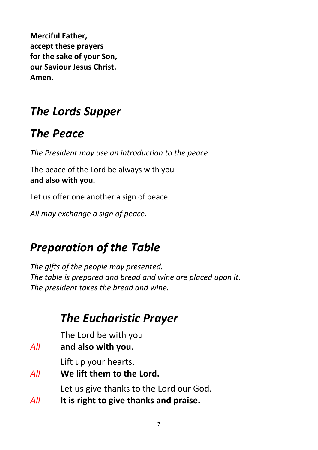**Merciful Father, accept these prayers for the sake of your Son, our Saviour Jesus Christ. Amen.**

## *The Lords Supper*

## *The Peace*

*The President may use an introduction to the peace*

The peace of the Lord be always with you **and also with you.**

Let us offer one another a sign of peace.

*All may exchange a sign of peace.*

## *Preparation of the Table*

*The gifts of the people may presented. The table is prepared and bread and wine are placed upon it. The president takes the bread and wine.*

## *The Eucharistic Prayer*

The Lord be with you

*All* **and also with you.**

Lift up your hearts.

*All* **We lift them to the Lord.**

Let us give thanks to the Lord our God.

*All* **It is right to give thanks and praise.**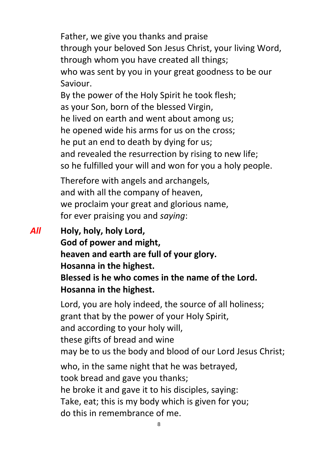Father, we give you thanks and praise through your beloved Son Jesus Christ, your living Word, through whom you have created all things; who was sent by you in your great goodness to be our Saviour.

By the power of the Holy Spirit he took flesh; as your Son, born of the blessed Virgin, he lived on earth and went about among us; he opened wide his arms for us on the cross; he put an end to death by dying for us; and revealed the resurrection by rising to new life; so he fulfilled your will and won for you a holy people.

Therefore with angels and archangels, and with all the company of heaven, we proclaim your great and glorious name, for ever praising you and *saying*:

*All* **Holy, holy, holy Lord, God of power and might, heaven and earth are full of your glory. Hosanna in the highest. Blessed is he who comes in the name of the Lord. Hosanna in the highest.**

> Lord, you are holy indeed, the source of all holiness; grant that by the power of your Holy Spirit, and according to your holy will, these gifts of bread and wine may be to us the body and blood of our Lord Jesus Christ; who, in the same night that he was betrayed, took bread and gave you thanks; he broke it and gave it to his disciples, saying: Take, eat; this is my body which is given for you; do this in remembrance of me.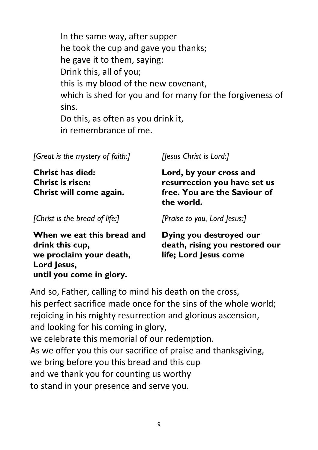In the same way, after supper he took the cup and gave you thanks; he gave it to them, saying: Drink this, all of you; this is my blood of the new covenant, which is shed for you and for many for the forgiveness of sins. Do this, as often as you drink it, in remembrance of me.

*[Great is the mystery of faith:]*

**Christ has died: Christ is risen: Christ will come again.**

*[Christ is the bread of life:]*

*[Jesus Christ is Lord:]*

**Lord, by your cross and resurrection you have set us free. You are the Saviour of the world.** 

*[Praise to you, Lord Jesus:]*

**When we eat this bread and drink this cup, we proclaim your death, Lord Jesus, until you come in glory.**

**Dying you destroyed our death, rising you restored our life; Lord Jesus come**

And so, Father, calling to mind his death on the cross, his perfect sacrifice made once for the sins of the whole world; rejoicing in his mighty resurrection and glorious ascension, and looking for his coming in glory, we celebrate this memorial of our redemption. As we offer you this our sacrifice of praise and thanksgiving, we bring before you this bread and this cup and we thank you for counting us worthy to stand in your presence and serve you.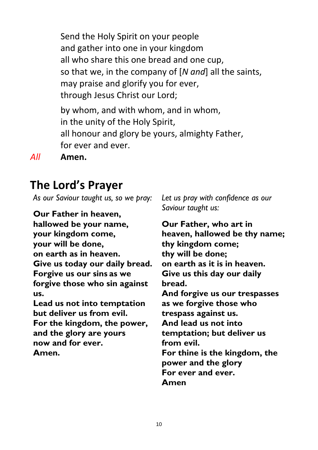Send the Holy Spirit on your people and gather into one in your kingdom all who share this one bread and one cup, so that we, in the company of [*N and*] all the saints, may praise and glorify you for ever, through Jesus Christ our Lord; by whom, and with whom, and in whom,

in the unity of the Holy Spirit, all honour and glory be yours, almighty Father, for ever and ever.

*All* **Amen.**

## **The Lord's Prayer**

*As our Saviour taught us, so we pray:*

**Our Father in heaven, hallowed be your name, your kingdom come, your will be done, on earth as in heaven. Give us today our daily bread. Forgive us our sins as we forgive those who sin against us. Lead us not into temptation**

**but deliver us from evil. For the kingdom, the power, and the glory are yours now and for ever. Amen.**

*Let us pray with confidence as our Saviour taught us:*

**Our Father, who art in heaven, hallowed be thy name; thy kingdom come; thy will be done; on earth as it is in heaven. Give us this day our daily bread. And forgive us our trespasses as we forgive those who trespass against us. And lead us not into temptation; but deliver us from evil. For thine is the kingdom, the power and the glory For ever and ever. Amen**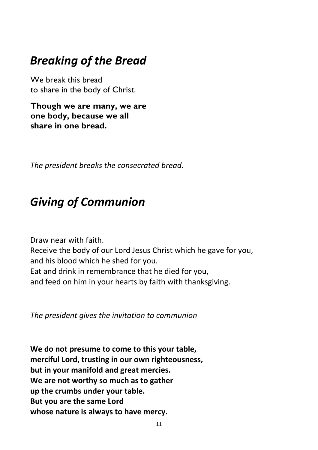## *Breaking of the Bread*

We break this bread to share in the body of Christ.

**Though we are many, we are one body, because we all share in one bread.**

*The president breaks the consecrated bread.*

## *Giving of Communion*

Draw near with faith. Receive the body of our Lord Jesus Christ which he gave for you, and his blood which he shed for you. Eat and drink in remembrance that he died for you, and feed on him in your hearts by faith with thanksgiving.

*The president gives the invitation to communion*

**We do not presume to come to this your table, merciful Lord, trusting in our own righteousness, but in your manifold and great mercies. We are not worthy so much as to gather up the crumbs under your table. But you are the same Lord whose nature is always to have mercy.**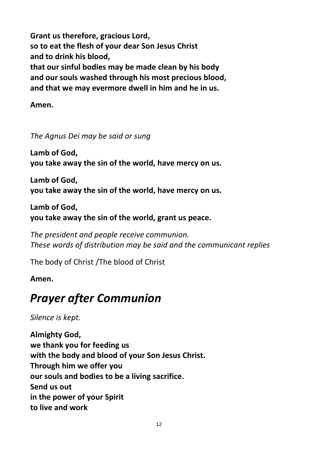**Grant us therefore, gracious Lord, so to eat the flesh of your dear Son Jesus Christ and to drink his blood, that our sinful bodies may be made clean by his body and our souls washed through his most precious blood, and that we may evermore dwell in him and he in us.**

**Amen.**

*The Agnus Dei may be said or sung*

**Lamb of God, you take away the sin of the world, have mercy on us.**

**Lamb of God, you take away the sin of the world, have mercy on us.**

**Lamb of God, you take away the sin of the world, grant us peace.**

*The president and people receive communion. These words of distribution may be said and the communicant replies*

The body of Christ /The blood of Christ

#### **Amen.**

## *Prayer after Communion*

*Silence is kept.*

**Almighty God, we thank you for feeding us with the body and blood of your Son Jesus Christ. Through him we offer you our souls and bodies to be a living sacrifice. Send us out in the power of your Spirit to live and work**